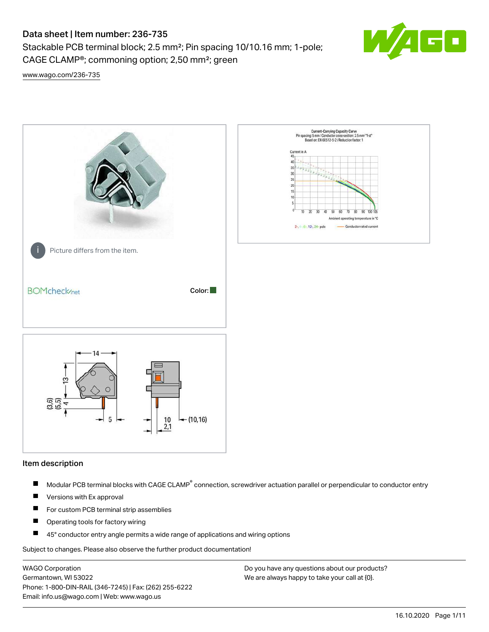Stackable PCB terminal block; 2.5 mm²; Pin spacing 10/10.16 mm; 1-pole; CAGE CLAMP®; commoning option; 2,50 mm²; green



[www.wago.com/236-735](http://www.wago.com/236-735)



#### Item description

- Modular PCB terminal blocks with CAGE CLAMP<sup>®</sup> connection, screwdriver actuation parallel or perpendicular to conductor entry П
- $\blacksquare$ Versions with Ex approval
- П For custom PCB terminal strip assemblies
- $\blacksquare$ Operating tools for factory wiring
- $\blacksquare$ 45° conductor entry angle permits a wide range of applications and wiring options

Subject to changes. Please also observe the further product documentation!

WAGO Corporation Germantown, WI 53022 Phone: 1-800-DIN-RAIL (346-7245) | Fax: (262) 255-6222 Email: info.us@wago.com | Web: www.wago.us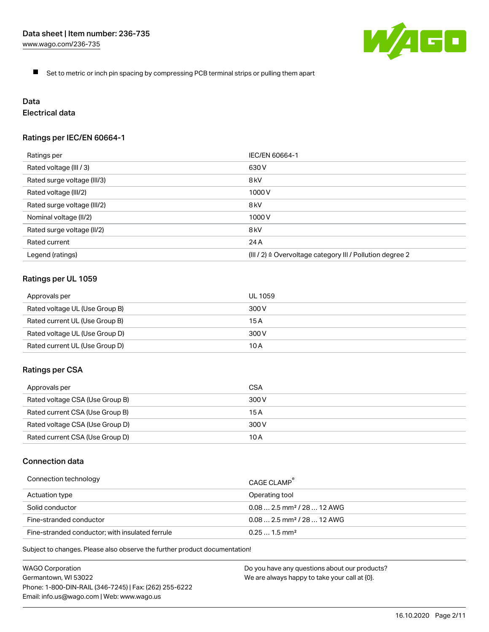

 $\blacksquare$ Set to metric or inch pin spacing by compressing PCB terminal strips or pulling them apart

# Data

# Electrical data

# Ratings per IEC/EN 60664-1

| Ratings per                 | IEC/EN 60664-1                                                        |
|-----------------------------|-----------------------------------------------------------------------|
| Rated voltage (III / 3)     | 630 V                                                                 |
| Rated surge voltage (III/3) | 8 <sub>kV</sub>                                                       |
| Rated voltage (III/2)       | 1000 V                                                                |
| Rated surge voltage (III/2) | 8 <sub>kV</sub>                                                       |
| Nominal voltage (II/2)      | 1000 V                                                                |
| Rated surge voltage (II/2)  | 8 <sub>kV</sub>                                                       |
| Rated current               | 24 A                                                                  |
| Legend (ratings)            | $(III / 2)$ $\triangle$ Overvoltage category III / Pollution degree 2 |

# Ratings per UL 1059

| Approvals per                  | UL 1059 |
|--------------------------------|---------|
| Rated voltage UL (Use Group B) | 300 V   |
| Rated current UL (Use Group B) | 15 A    |
| Rated voltage UL (Use Group D) | 300 V   |
| Rated current UL (Use Group D) | 10 A    |

#### Ratings per CSA

| Approvals per                   | CSA   |
|---------------------------------|-------|
| Rated voltage CSA (Use Group B) | 300 V |
| Rated current CSA (Use Group B) | 15 A  |
| Rated voltage CSA (Use Group D) | 300 V |
| Rated current CSA (Use Group D) | 10 A  |

# Connection data

| Connection technology                           | CAGE CLAMP                              |
|-------------------------------------------------|-----------------------------------------|
| Actuation type                                  | Operating tool                          |
| Solid conductor                                 | $0.08$ 2.5 mm <sup>2</sup> / 28  12 AWG |
| Fine-stranded conductor                         | $0.082.5$ mm <sup>2</sup> / 28  12 AWG  |
| Fine-stranded conductor; with insulated ferrule | $0.251.5$ mm <sup>2</sup>               |

Subject to changes. Please also observe the further product documentation!

WAGO Corporation Germantown, WI 53022 Phone: 1-800-DIN-RAIL (346-7245) | Fax: (262) 255-6222 Email: info.us@wago.com | Web: www.wago.us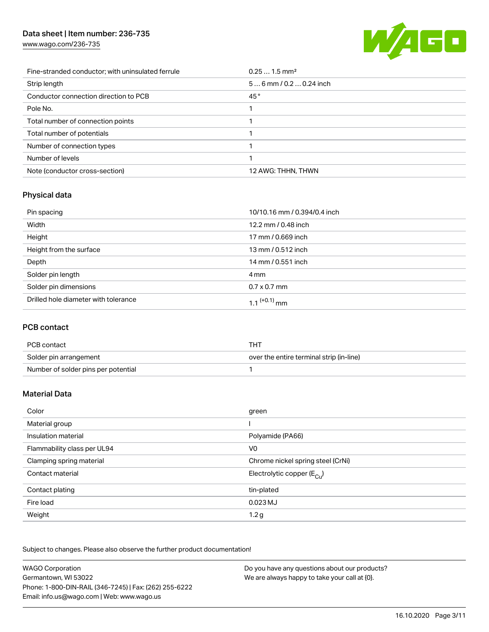[www.wago.com/236-735](http://www.wago.com/236-735)



| Fine-stranded conductor; with uninsulated ferrule | $0.251.5$ mm <sup>2</sup> |
|---------------------------------------------------|---------------------------|
| Strip length                                      | $56$ mm / 0.2  0.24 inch  |
| Conductor connection direction to PCB             | 45°                       |
| Pole No.                                          |                           |
| Total number of connection points                 |                           |
| Total number of potentials                        |                           |
| Number of connection types                        |                           |
| Number of levels                                  |                           |
| Note (conductor cross-section)                    | 12 AWG: THHN, THWN        |

# Physical data

| Pin spacing                          | 10/10.16 mm / 0.394/0.4 inch |
|--------------------------------------|------------------------------|
| Width                                | 12.2 mm / 0.48 inch          |
| Height                               | 17 mm / 0.669 inch           |
| Height from the surface              | 13 mm / 0.512 inch           |
| Depth                                | 14 mm / 0.551 inch           |
| Solder pin length                    | 4 mm                         |
| Solder pin dimensions                | $0.7 \times 0.7$ mm          |
| Drilled hole diameter with tolerance | 1.1 <sup>(+0.1)</sup> mm     |

# PCB contact

| PCB contact                         | тнт                                      |
|-------------------------------------|------------------------------------------|
| Solder pin arrangement              | over the entire terminal strip (in-line) |
| Number of solder pins per potential |                                          |

# Material Data

| Color                       | green                                   |
|-----------------------------|-----------------------------------------|
| Material group              |                                         |
| Insulation material         | Polyamide (PA66)                        |
| Flammability class per UL94 | V <sub>0</sub>                          |
| Clamping spring material    | Chrome nickel spring steel (CrNi)       |
| Contact material            | Electrolytic copper ( $E_{\text{Cu}}$ ) |
| Contact plating             | tin-plated                              |
| Fire load                   | $0.023$ MJ                              |
| Weight                      | 1.2 <sub>g</sub>                        |

Subject to changes. Please also observe the further product documentation!

| <b>WAGO Corporation</b>                                | Do you have any questions about our products? |
|--------------------------------------------------------|-----------------------------------------------|
| Germantown, WI 53022                                   | We are always happy to take your call at {0}. |
| Phone: 1-800-DIN-RAIL (346-7245)   Fax: (262) 255-6222 |                                               |
| Email: info.us@wago.com   Web: www.wago.us             |                                               |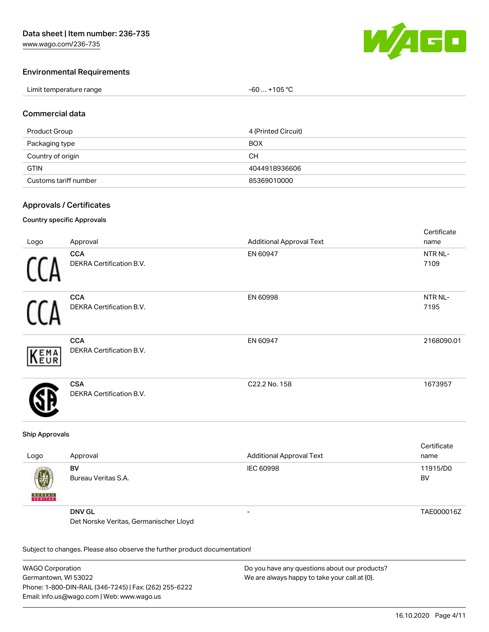

Cortificato

## Environmental Requirements

| Limit temperature range | $-60+105 °C$ |
|-------------------------|--------------|
|-------------------------|--------------|

#### Commercial data

| Product Group         | 4 (Printed Circuit) |
|-----------------------|---------------------|
| Packaging type        | <b>BOX</b>          |
| Country of origin     | CН                  |
| <b>GTIN</b>           | 4044918936606       |
| Customs tariff number | 85369010000         |

#### Approvals / Certificates

#### Country specific Approvals

| Logo | Approval                               | <b>Additional Approval Text</b> | <b>OCI UITUALE</b><br>name |
|------|----------------------------------------|---------------------------------|----------------------------|
|      | <b>CCA</b><br>DEKRA Certification B.V. | EN 60947                        | NTR NL-<br>7109            |
|      | <b>CCA</b><br>DEKRA Certification B.V. | EN 60998                        | NTR NL-<br>7195            |
| KEMA | <b>CCA</b><br>DEKRA Certification B.V. | EN 60947                        | 2168090.01                 |
|      | <b>CSA</b><br>DEKRA Certification B.V. | C22.2 No. 158                   | 1673957                    |

#### Ship Approvals

| Logo               | Approval                               | <b>Additional Approval Text</b> | Certificate<br>name |
|--------------------|----------------------------------------|---------------------------------|---------------------|
| Ø<br><b>BUREAU</b> | BV<br>Bureau Veritas S.A.              | IEC 60998                       | 11915/D0<br>BV      |
|                    | <b>DNV GL</b>                          | -                               | TAE000016Z          |
|                    | Det Norske Veritas, Germanischer Lloyd |                                 |                     |

Subject to changes. Please also observe the further product documentation!

WAGO Corporation Germantown, WI 53022 Phone: 1-800-DIN-RAIL (346-7245) | Fax: (262) 255-6222 Email: info.us@wago.com | Web: www.wago.us Do you have any questions about our products? We are always happy to take your call at {0}.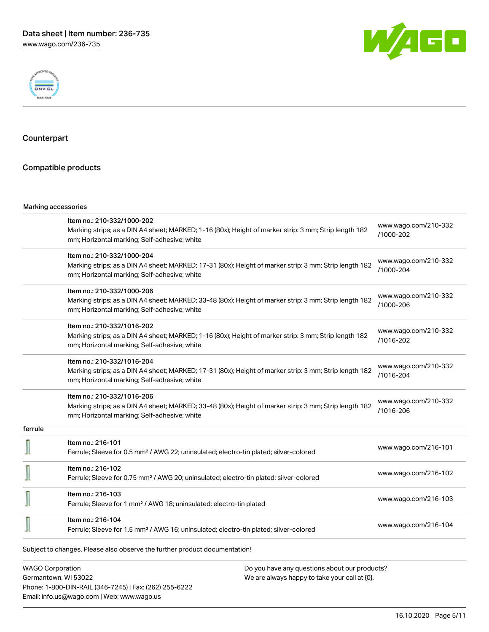



## Counterpart

## Compatible products

#### Marking accessories

|                         | Item no.: 210-332/1000-202                                                                                                                             | www.wago.com/210-332              |
|-------------------------|--------------------------------------------------------------------------------------------------------------------------------------------------------|-----------------------------------|
|                         | Marking strips; as a DIN A4 sheet; MARKED; 1-16 (80x); Height of marker strip: 3 mm; Strip length 182<br>mm; Horizontal marking; Self-adhesive; white  | /1000-202                         |
|                         | Item no.: 210-332/1000-204                                                                                                                             | www.wago.com/210-332              |
|                         | Marking strips; as a DIN A4 sheet; MARKED; 17-31 (80x); Height of marker strip: 3 mm; Strip length 182<br>mm; Horizontal marking; Self-adhesive; white | /1000-204                         |
|                         | Item no.: 210-332/1000-206                                                                                                                             | www.wago.com/210-332              |
|                         | Marking strips; as a DIN A4 sheet; MARKED; 33-48 (80x); Height of marker strip: 3 mm; Strip length 182<br>mm; Horizontal marking; Self-adhesive; white | /1000-206                         |
|                         | Item no.: 210-332/1016-202                                                                                                                             | www.wago.com/210-332              |
|                         | Marking strips; as a DIN A4 sheet; MARKED; 1-16 (80x); Height of marker strip: 3 mm; Strip length 182<br>mm; Horizontal marking; Self-adhesive; white  | /1016-202                         |
|                         | Item no.: 210-332/1016-204                                                                                                                             |                                   |
|                         | Marking strips; as a DIN A4 sheet; MARKED; 17-31 (80x); Height of marker strip: 3 mm; Strip length 182<br>mm; Horizontal marking; Self-adhesive; white | www.wago.com/210-332<br>/1016-204 |
|                         | Item no.: 210-332/1016-206                                                                                                                             | www.wago.com/210-332              |
|                         | Marking strips; as a DIN A4 sheet; MARKED; 33-48 (80x); Height of marker strip: 3 mm; Strip length 182<br>mm; Horizontal marking; Self-adhesive; white | /1016-206                         |
| ferrule                 |                                                                                                                                                        |                                   |
|                         | Item no.: 216-101<br>Ferrule; Sleeve for 0.5 mm <sup>2</sup> / AWG 22; uninsulated; electro-tin plated; silver-colored                                 | www.wago.com/216-101              |
|                         | Item no.: 216-102                                                                                                                                      |                                   |
|                         | Ferrule; Sleeve for 0.75 mm <sup>2</sup> / AWG 20; uninsulated; electro-tin plated; silver-colored                                                     | www.wago.com/216-102              |
|                         | Item no.: 216-103                                                                                                                                      |                                   |
|                         | Ferrule; Sleeve for 1 mm <sup>2</sup> / AWG 18; uninsulated; electro-tin plated                                                                        | www.wago.com/216-103              |
|                         | Item no.: 216-104<br>Ferrule; Sleeve for 1.5 mm <sup>2</sup> / AWG 16; uninsulated; electro-tin plated; silver-colored                                 | www.wago.com/216-104              |
|                         | Subject to changes. Please also observe the further product documentation!                                                                             |                                   |
| <b>WAGO Corporation</b> | Do you have any questions about our products?                                                                                                          |                                   |

Germantown, WI 53022 Phone: 1-800-DIN-RAIL (346-7245) | Fax: (262) 255-6222 Email: info.us@wago.com | Web: www.wago.us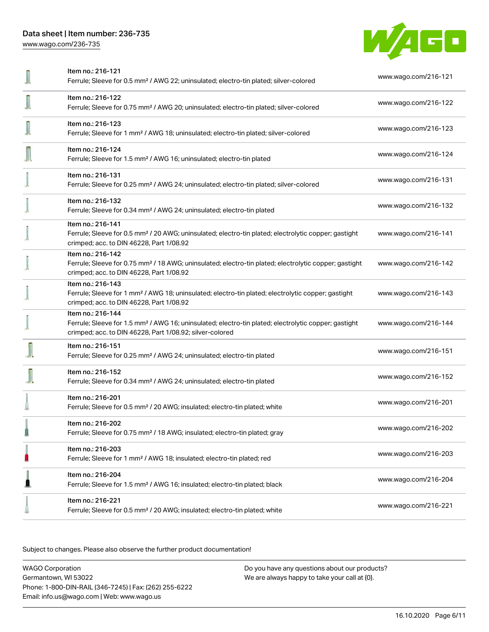[www.wago.com/236-735](http://www.wago.com/236-735)



| Item no.: 216-121<br>Ferrule; Sleeve for 0.5 mm <sup>2</sup> / AWG 22; uninsulated; electro-tin plated; silver-colored                                                                            | www.wago.com/216-121 |
|---------------------------------------------------------------------------------------------------------------------------------------------------------------------------------------------------|----------------------|
| Item no.: 216-122<br>Ferrule; Sleeve for 0.75 mm <sup>2</sup> / AWG 20; uninsulated; electro-tin plated; silver-colored                                                                           | www.wago.com/216-122 |
| Item no.: 216-123<br>Ferrule; Sleeve for 1 mm <sup>2</sup> / AWG 18; uninsulated; electro-tin plated; silver-colored                                                                              | www.wago.com/216-123 |
| Item no.: 216-124<br>Ferrule; Sleeve for 1.5 mm <sup>2</sup> / AWG 16; uninsulated; electro-tin plated                                                                                            | www.wago.com/216-124 |
| Item no.: 216-131<br>Ferrule; Sleeve for 0.25 mm <sup>2</sup> / AWG 24; uninsulated; electro-tin plated; silver-colored                                                                           | www.wago.com/216-131 |
| Item no.: 216-132<br>Ferrule; Sleeve for 0.34 mm <sup>2</sup> / AWG 24; uninsulated; electro-tin plated                                                                                           | www.wago.com/216-132 |
| Item no.: 216-141<br>Ferrule; Sleeve for 0.5 mm <sup>2</sup> / 20 AWG; uninsulated; electro-tin plated; electrolytic copper; gastight<br>crimped; acc. to DIN 46228, Part 1/08.92                 | www.wago.com/216-141 |
| Item no.: 216-142<br>Ferrule; Sleeve for 0.75 mm <sup>2</sup> / 18 AWG; uninsulated; electro-tin plated; electrolytic copper; gastight<br>crimped; acc. to DIN 46228, Part 1/08.92                | www.wago.com/216-142 |
| Item no.: 216-143<br>Ferrule; Sleeve for 1 mm <sup>2</sup> / AWG 18; uninsulated; electro-tin plated; electrolytic copper; gastight<br>crimped; acc. to DIN 46228, Part 1/08.92                   | www.wago.com/216-143 |
| Item no.: 216-144<br>Ferrule; Sleeve for 1.5 mm <sup>2</sup> / AWG 16; uninsulated; electro-tin plated; electrolytic copper; gastight<br>crimped; acc. to DIN 46228, Part 1/08.92; silver-colored | www.wago.com/216-144 |
| Item no.: 216-151<br>Ferrule; Sleeve for 0.25 mm <sup>2</sup> / AWG 24; uninsulated; electro-tin plated                                                                                           | www.wago.com/216-151 |
| Item no.: 216-152<br>Ferrule; Sleeve for 0.34 mm <sup>2</sup> / AWG 24; uninsulated; electro-tin plated                                                                                           | www.wago.com/216-152 |
| Item no.: 216-201<br>Ferrule; Sleeve for 0.5 mm <sup>2</sup> / 20 AWG; insulated; electro-tin plated; white                                                                                       | www.wago.com/216-201 |
| Item no.: 216-202<br>Ferrule; Sleeve for 0.75 mm <sup>2</sup> / 18 AWG; insulated; electro-tin plated; gray                                                                                       | www.wago.com/216-202 |
| Item no.: 216-203<br>Ferrule; Sleeve for 1 mm <sup>2</sup> / AWG 18; insulated; electro-tin plated; red                                                                                           | www.wago.com/216-203 |
| Item no.: 216-204<br>Ferrule; Sleeve for 1.5 mm <sup>2</sup> / AWG 16; insulated; electro-tin plated; black                                                                                       | www.wago.com/216-204 |
| Item no.: 216-221<br>Ferrule; Sleeve for 0.5 mm <sup>2</sup> / 20 AWG; insulated; electro-tin plated; white                                                                                       | www.wago.com/216-221 |

Subject to changes. Please also observe the further product documentation!

WAGO Corporation Germantown, WI 53022 Phone: 1-800-DIN-RAIL (346-7245) | Fax: (262) 255-6222 Email: info.us@wago.com | Web: www.wago.us Do you have any questions about our products? We are always happy to take your call at {0}.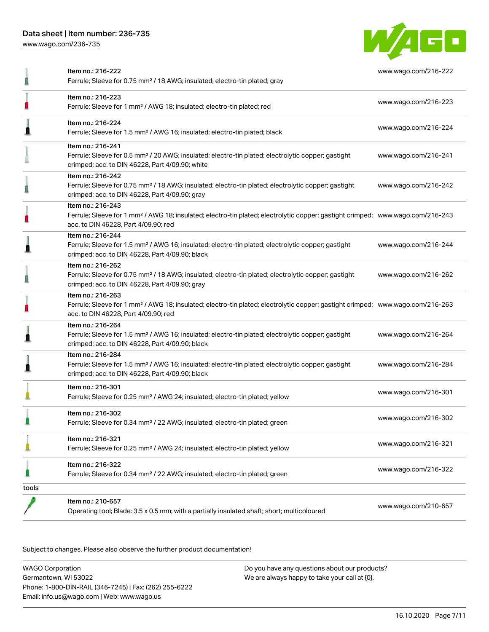[www.wago.com/236-735](http://www.wago.com/236-735)



|       | Item no.: 216-222<br>Ferrule; Sleeve for 0.75 mm <sup>2</sup> / 18 AWG; insulated; electro-tin plated; gray                                                                                             | www.wago.com/216-222 |
|-------|---------------------------------------------------------------------------------------------------------------------------------------------------------------------------------------------------------|----------------------|
|       | Item no.: 216-223<br>Ferrule; Sleeve for 1 mm <sup>2</sup> / AWG 18; insulated; electro-tin plated; red                                                                                                 | www.wago.com/216-223 |
|       | Item no.: 216-224<br>Ferrule; Sleeve for 1.5 mm <sup>2</sup> / AWG 16; insulated; electro-tin plated; black                                                                                             | www.wago.com/216-224 |
|       | Item no.: 216-241<br>Ferrule; Sleeve for 0.5 mm <sup>2</sup> / 20 AWG; insulated; electro-tin plated; electrolytic copper; gastight<br>crimped; acc. to DIN 46228, Part 4/09.90; white                  | www.wago.com/216-241 |
|       | Item no.: 216-242<br>Ferrule; Sleeve for 0.75 mm <sup>2</sup> / 18 AWG; insulated; electro-tin plated; electrolytic copper; gastight<br>crimped; acc. to DIN 46228, Part 4/09.90; gray                  | www.wago.com/216-242 |
|       | Item no.: 216-243<br>Ferrule; Sleeve for 1 mm <sup>2</sup> / AWG 18; insulated; electro-tin plated; electrolytic copper; gastight crimped; www.wago.com/216-243<br>acc. to DIN 46228, Part 4/09.90; red |                      |
|       | Item no.: 216-244<br>Ferrule; Sleeve for 1.5 mm <sup>2</sup> / AWG 16; insulated; electro-tin plated; electrolytic copper; gastight<br>crimped; acc. to DIN 46228, Part 4/09.90; black                  | www.wago.com/216-244 |
|       | Item no.: 216-262<br>Ferrule; Sleeve for 0.75 mm <sup>2</sup> / 18 AWG; insulated; electro-tin plated; electrolytic copper; gastight<br>crimped; acc. to DIN 46228, Part 4/09.90; gray                  | www.wago.com/216-262 |
|       | Item no.: 216-263<br>Ferrule; Sleeve for 1 mm <sup>2</sup> / AWG 18; insulated; electro-tin plated; electrolytic copper; gastight crimped; www.wago.com/216-263<br>acc. to DIN 46228, Part 4/09.90; red |                      |
|       | Item no.: 216-264<br>Ferrule; Sleeve for 1.5 mm <sup>2</sup> / AWG 16; insulated; electro-tin plated; electrolytic copper; gastight<br>crimped; acc. to DIN 46228, Part 4/09.90; black                  | www.wago.com/216-264 |
|       | Item no.: 216-284<br>Ferrule; Sleeve for 1.5 mm <sup>2</sup> / AWG 16; insulated; electro-tin plated; electrolytic copper; gastight<br>crimped; acc. to DIN 46228, Part 4/09.90; black                  | www.wago.com/216-284 |
|       | Item no.: 216-301<br>Ferrule; Sleeve for 0.25 mm <sup>2</sup> / AWG 24; insulated; electro-tin plated; yellow                                                                                           | www.wago.com/216-301 |
|       | Item no.: 216-302<br>Ferrule; Sleeve for 0.34 mm <sup>2</sup> / 22 AWG; insulated; electro-tin plated; green                                                                                            | www.wago.com/216-302 |
|       | Item no.: 216-321<br>Ferrule; Sleeve for 0.25 mm <sup>2</sup> / AWG 24; insulated; electro-tin plated; yellow                                                                                           | www.wago.com/216-321 |
|       | Item no.: 216-322<br>Ferrule; Sleeve for 0.34 mm <sup>2</sup> / 22 AWG; insulated; electro-tin plated; green                                                                                            | www.wago.com/216-322 |
| tools |                                                                                                                                                                                                         |                      |
|       | Item no.: 210-657<br>Operating tool; Blade: 3.5 x 0.5 mm; with a partially insulated shaft; short; multicoloured                                                                                        | www.wago.com/210-657 |

Subject to changes. Please also observe the further product documentation!

WAGO Corporation Germantown, WI 53022 Phone: 1-800-DIN-RAIL (346-7245) | Fax: (262) 255-6222 Email: info.us@wago.com | Web: www.wago.us Do you have any questions about our products? We are always happy to take your call at {0}.

16.10.2020 Page 7/11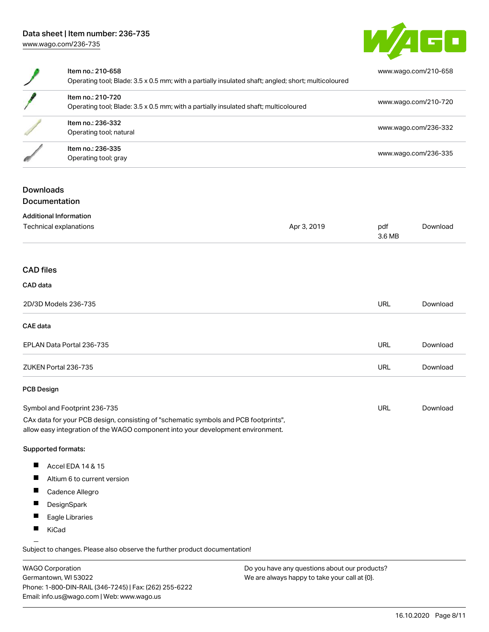

| Item no.: 210-658<br>Operating tool; Blade: 3.5 x 0.5 mm; with a partially insulated shaft; angled; short; multicoloured | www.wago.com/210-658 |
|--------------------------------------------------------------------------------------------------------------------------|----------------------|
| Item no.: 210-720<br>Operating tool; Blade: 3.5 x 0.5 mm; with a partially insulated shaft; multicoloured                | www.wago.com/210-720 |
| Item no.: 236-332<br>Operating tool; natural                                                                             | www.wago.com/236-332 |
| Item no.: 236-335<br>Operating tool; gray                                                                                | www.wago.com/236-335 |

### Downloads **Documentation**

|  |  |  |  | -------------- |  |  |  |  |
|--|--|--|--|----------------|--|--|--|--|
|  |  |  |  |                |  |  |  |  |
|  |  |  |  |                |  |  |  |  |
|  |  |  |  |                |  |  |  |  |
|  |  |  |  |                |  |  |  |  |
|  |  |  |  |                |  |  |  |  |
|  |  |  |  |                |  |  |  |  |
|  |  |  |  |                |  |  |  |  |
|  |  |  |  |                |  |  |  |  |
|  |  |  |  |                |  |  |  |  |
|  |  |  |  |                |  |  |  |  |
|  |  |  |  |                |  |  |  |  |
|  |  |  |  |                |  |  |  |  |

| <b>Additional Information</b>                                                                                                                                          |             |               |          |
|------------------------------------------------------------------------------------------------------------------------------------------------------------------------|-------------|---------------|----------|
| Technical explanations                                                                                                                                                 | Apr 3, 2019 | pdf<br>3.6 MB | Download |
|                                                                                                                                                                        |             |               |          |
| <b>CAD files</b>                                                                                                                                                       |             |               |          |
| CAD data                                                                                                                                                               |             |               |          |
| 2D/3D Models 236-735                                                                                                                                                   |             | <b>URL</b>    | Download |
| <b>CAE</b> data                                                                                                                                                        |             |               |          |
| EPLAN Data Portal 236-735                                                                                                                                              |             | URL           | Download |
| ZUKEN Portal 236-735                                                                                                                                                   |             | <b>URL</b>    | Download |
| <b>PCB Design</b>                                                                                                                                                      |             |               |          |
| Symbol and Footprint 236-735                                                                                                                                           |             | <b>URL</b>    | Download |
| CAx data for your PCB design, consisting of "schematic symbols and PCB footprints",<br>allow easy integration of the WAGO component into your development environment. |             |               |          |

#### Supported formats:

- $\blacksquare$ Accel EDA 14 & 15
- $\blacksquare$ Altium 6 to current version
- $\blacksquare$ Cadence Allegro
- $\blacksquare$ **DesignSpark**
- $\blacksquare$ Eagle Libraries
- $\blacksquare$ KiCad

Subject to changes. Please also observe the further product documentation!

WAGO Corporation Germantown, WI 53022 Phone: 1-800-DIN-RAIL (346-7245) | Fax: (262) 255-6222 Email: info.us@wago.com | Web: www.wago.us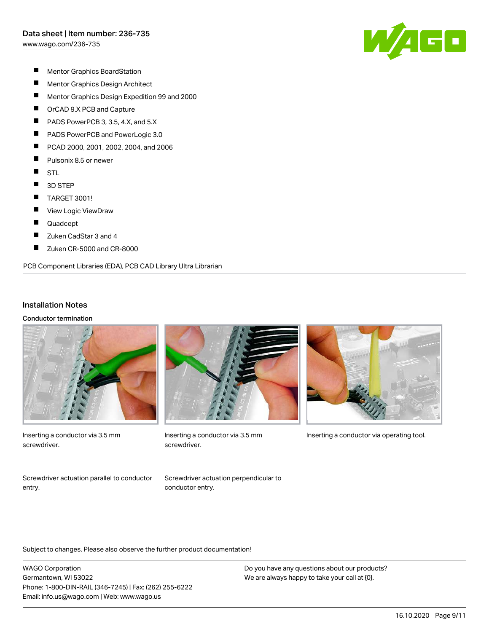[www.wago.com/236-735](http://www.wago.com/236-735)



- $\blacksquare$ Mentor Graphics BoardStation
- $\blacksquare$ Mentor Graphics Design Architect
- $\blacksquare$ Mentor Graphics Design Expedition 99 and 2000
- $\blacksquare$ OrCAD 9.X PCB and Capture
- П PADS PowerPCB 3, 3.5, 4.X, and 5.X
- П PADS PowerPCB and PowerLogic 3.0
- П PCAD 2000, 2001, 2002, 2004, and 2006
- $\blacksquare$ Pulsonix 8.5 or newer
- $\blacksquare$ **STL**
- $\blacksquare$ 3D STEP
- $\blacksquare$ TARGET 3001!
- П View Logic ViewDraw
- $\blacksquare$ Quadcept
- $\blacksquare$ Zuken CadStar 3 and 4
- П Zuken CR-5000 and CR-8000

#### PCB Component Libraries (EDA), PCB CAD Library Ultra Librarian

#### Installation Notes

Conductor termination



Inserting a conductor via 3.5 mm screwdriver.



screwdriver.



Inserting a conductor via 3.5 mm Inserting a conductor via operating tool.

Screwdriver actuation parallel to conductor entry.

Screwdriver actuation perpendicular to conductor entry.

Subject to changes. Please also observe the further product documentation!

WAGO Corporation Germantown, WI 53022 Phone: 1-800-DIN-RAIL (346-7245) | Fax: (262) 255-6222 Email: info.us@wago.com | Web: www.wago.us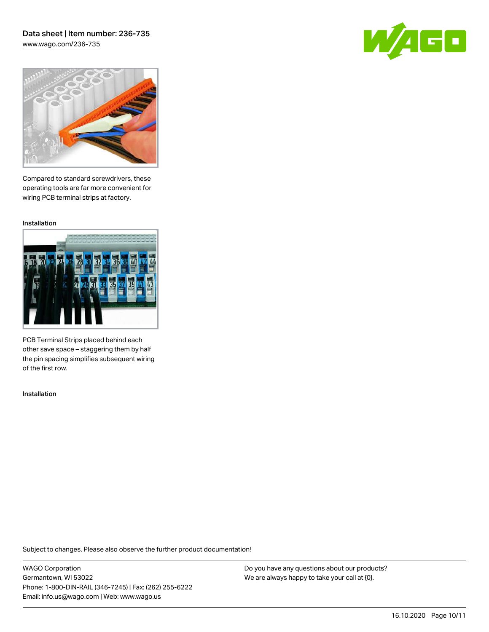## Data sheet | Item number: 236-735 [www.wago.com/236-735](http://www.wago.com/236-735)





Compared to standard screwdrivers, these operating tools are far more convenient for wiring PCB terminal strips at factory.

Installation



PCB Terminal Strips placed behind each other save space – staggering them by half the pin spacing simplifies subsequent wiring of the first row.

Installation

Subject to changes. Please also observe the further product documentation!

WAGO Corporation Germantown, WI 53022 Phone: 1-800-DIN-RAIL (346-7245) | Fax: (262) 255-6222 Email: info.us@wago.com | Web: www.wago.us